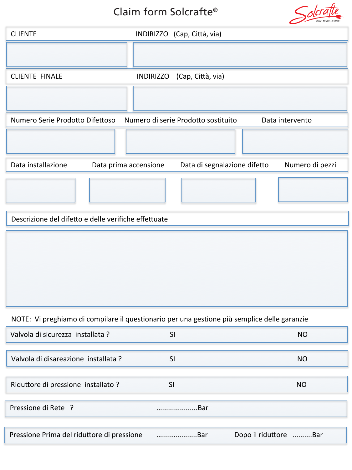# Claim form Solcrafte® Claim form Solcrafte®



### NOTE: Vi preghiamo di compilare il questionario per una gestione più semplice delle garanzie

| Valvola di sicurezza installata ?          | SI  | <b>NO</b>             |
|--------------------------------------------|-----|-----------------------|
|                                            |     |                       |
| Valvola di disareazione installata ?       | SI  | NO.                   |
|                                            |     |                       |
| Riduttore di pressione installato ?        | SI  | <b>NO</b>             |
|                                            |     |                       |
| Pressione di Rete ?                        | Bar |                       |
|                                            |     |                       |
| Pressione Prima del riduttore di pressione | Bar | Dopo il riduttore Bar |

**NOTE: In order to enable a fast processing of your claim you are asked to answer following answer following qu**